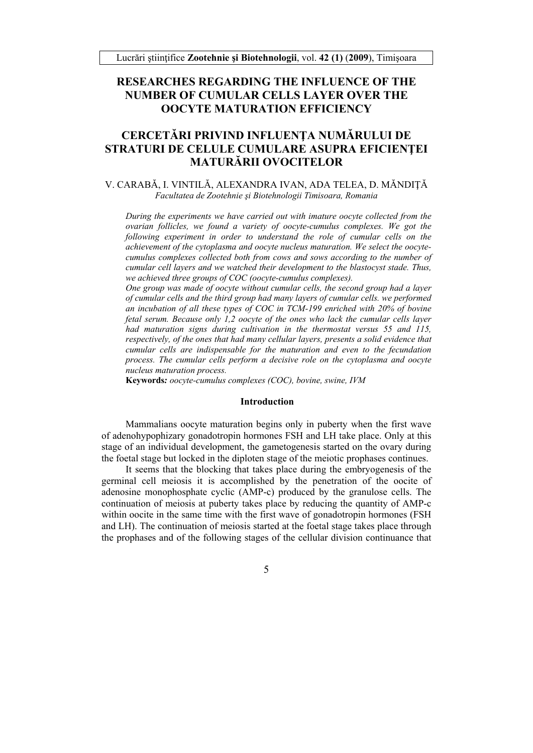# **RESEARCHES REGARDING THE INFLUENCE OF THE NUMBER OF CUMULAR CELLS LAYER OVER THE OOCYTE MATURATION EFFICIENCY**

# **CERCETĂRI PRIVIND INFLUENŢA NUMĂRULUI DE STRATURI DE CELULE CUMULARE ASUPRA EFICIENŢEI MATURĂRII OVOCITELOR**

## V. CARABĂ, I. VINTILĂ, ALEXANDRA IVAN, ADA TELEA, D. MĂNDIŢĂ *Facultatea de Zootehnie şi Biotehnologii Timisoara, Romania*

*During the experiments we have carried out with imature oocyte collected from the ovarian follicles, we found a variety of oocyte-cumulus complexes. We got the following experiment in order to understand the role of cumular cells on the achievement of the cytoplasma and oocyte nucleus maturation. We select the oocytecumulus complexes collected both from cows and sows according to the number of cumular cell layers and we watched their development to the blastocyst stade. Thus, we achieved three groups of COC (oocyte-cumulus complexes).* 

*One group was made of oocyte without cumular cells, the second group had a layer of cumular cells and the third group had many layers of cumular cells. we performed an incubation of all these types of COC in TCM-199 enriched with 20% of bovine fetal serum. Because only 1,2 oocyte of the ones who lack the cumular cells layer had maturation signs during cultivation in the thermostat versus 55 and 115, respectively, of the ones that had many cellular layers, presents a solid evidence that cumular cells are indispensable for the maturation and even to the fecundation process. The cumular cells perform a decisive role on the cytoplasma and oocyte nucleus maturation process.* 

**Keywords***: oocyte-cumulus complexes (COC), bovine, swine, IVM*

#### **Introduction**

Mammalians oocyte maturation begins only in puberty when the first wave of adenohypophizary gonadotropin hormones FSH and LH take place. Only at this stage of an individual development, the gametogenesis started on the ovary during the foetal stage but locked in the diploten stage of the meiotic prophases continues.

It seems that the blocking that takes place during the embryogenesis of the germinal cell meiosis it is accomplished by the penetration of the oocite of adenosine monophosphate cyclic (AMP-c) produced by the granulose cells. The continuation of meiosis at puberty takes place by reducing the quantity of AMP-c within oocite in the same time with the first wave of gonadotropin hormones (FSH) and LH). The continuation of meiosis started at the foetal stage takes place through the prophases and of the following stages of the cellular division continuance that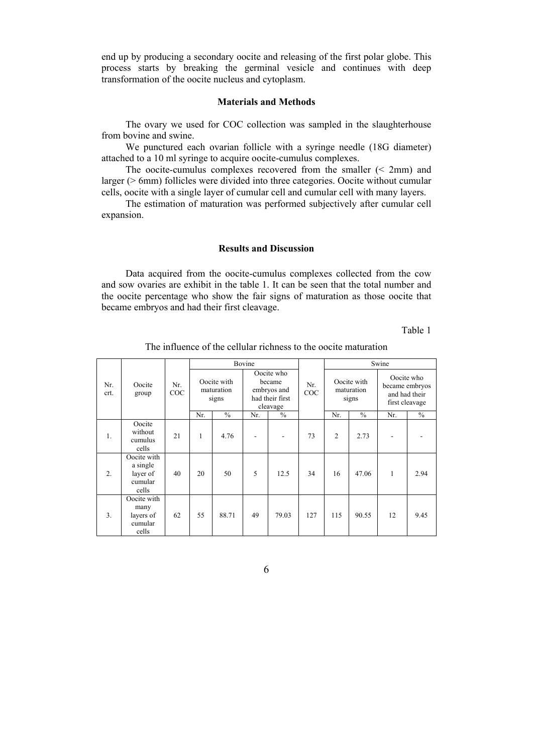end up by producing a secondary oocite and releasing of the first polar globe. This process starts by breaking the germinal vesicle and continues with deep transformation of the oocite nucleus and cytoplasm.

## **Materials and Methods**

The ovary we used for COC collection was sampled in the slaughterhouse from bovine and swine.

We punctured each ovarian follicle with a syringe needle (18G diameter) attached to a 10 ml syringe to acquire oocite-cumulus complexes.

The oocite-cumulus complexes recovered from the smaller (< 2mm) and larger (> 6mm) follicles were divided into three categories. Oocite without cumular cells, oocite with a single layer of cumular cell and cumular cell with many layers.

The estimation of maturation was performed subjectively after cumular cell expansion.

### **Results and Discussion**

Data acquired from the oocite-cumulus complexes collected from the cow and sow ovaries are exhibit in the table 1. It can be seen that the total number and the oocite percentage who show the fair signs of maturation as those oocite that became embryos and had their first cleavage.

Table 1

| Nr.<br>crt. | Oocite<br>group                                         | Nr.<br>COC | Bovine                             |               |                                                                    |       |            | Swine                              |               |                                                                 |               |
|-------------|---------------------------------------------------------|------------|------------------------------------|---------------|--------------------------------------------------------------------|-------|------------|------------------------------------|---------------|-----------------------------------------------------------------|---------------|
|             |                                                         |            | Oocite with<br>maturation<br>signs |               | Oocite who<br>became<br>embryos and<br>had their first<br>cleavage |       | Nr.<br>COC | Oocite with<br>maturation<br>signs |               | Oocite who<br>became embryos<br>and had their<br>first cleavage |               |
|             |                                                         |            | Nr.                                | $\frac{0}{0}$ | Nr.                                                                | $\%$  |            | Nr.                                | $\frac{0}{0}$ | Nr.                                                             | $\frac{0}{0}$ |
| 1.          | Oocite<br>without<br>cumulus<br>cells                   | 21         | 1                                  | 4.76          |                                                                    |       | 73         | $\overline{2}$                     | 2.73          |                                                                 |               |
| 2.          | Oocite with<br>a single<br>layer of<br>cumular<br>cells | 40         | 20                                 | 50            | 5                                                                  | 12.5  | 34         | 16                                 | 47.06         | $\mathbf{1}$                                                    | 2.94          |
| 3.          | Oocite with<br>many<br>layers of<br>cumular<br>cells    | 62         | 55                                 | 88.71         | 49                                                                 | 79.03 | 127        | 115                                | 90.55         | 12                                                              | 9.45          |

The influence of the cellular richness to the oocite maturation

6